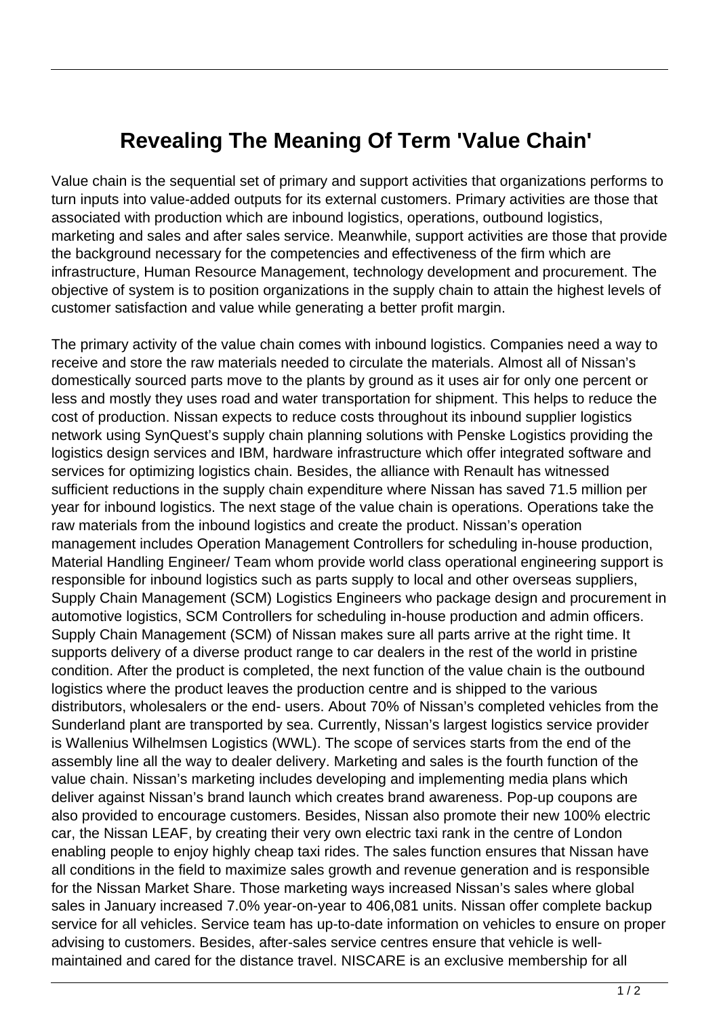## **Revealing The Meaning Of Term 'Value Chain'**

Value chain is the sequential set of primary and support activities that organizations performs to turn inputs into value-added outputs for its external customers. Primary activities are those that associated with production which are inbound logistics, operations, outbound logistics, marketing and sales and after sales service. Meanwhile, support activities are those that provide the background necessary for the competencies and effectiveness of the firm which are infrastructure, Human Resource Management, technology development and procurement. The objective of system is to position organizations in the supply chain to attain the highest levels of customer satisfaction and value while generating a better profit margin.

The primary activity of the value chain comes with inbound logistics. Companies need a way to receive and store the raw materials needed to circulate the materials. Almost all of Nissan's domestically sourced parts move to the plants by ground as it uses air for only one percent or less and mostly they uses road and water transportation for shipment. This helps to reduce the cost of production. Nissan expects to reduce costs throughout its inbound supplier logistics network using SynQuest's supply chain planning solutions with Penske Logistics providing the logistics design services and IBM, hardware infrastructure which offer integrated software and services for optimizing logistics chain. Besides, the alliance with Renault has witnessed sufficient reductions in the supply chain expenditure where Nissan has saved 71.5 million per year for inbound logistics. The next stage of the value chain is operations. Operations take the raw materials from the inbound logistics and create the product. Nissan's operation management includes Operation Management Controllers for scheduling in-house production, Material Handling Engineer/ Team whom provide world class operational engineering support is responsible for inbound logistics such as parts supply to local and other overseas suppliers, Supply Chain Management (SCM) Logistics Engineers who package design and procurement in automotive logistics, SCM Controllers for scheduling in-house production and admin officers. Supply Chain Management (SCM) of Nissan makes sure all parts arrive at the right time. It supports delivery of a diverse product range to car dealers in the rest of the world in pristine condition. After the product is completed, the next function of the value chain is the outbound logistics where the product leaves the production centre and is shipped to the various distributors, wholesalers or the end- users. About 70% of Nissan's completed vehicles from the Sunderland plant are transported by sea. Currently, Nissan's largest logistics service provider is Wallenius Wilhelmsen Logistics (WWL). The scope of services starts from the end of the assembly line all the way to dealer delivery. Marketing and sales is the fourth function of the value chain. Nissan's marketing includes developing and implementing media plans which deliver against Nissan's brand launch which creates brand awareness. Pop-up coupons are also provided to encourage customers. Besides, Nissan also promote their new 100% electric car, the Nissan LEAF, by creating their very own electric taxi rank in the centre of London enabling people to enjoy highly cheap taxi rides. The sales function ensures that Nissan have all conditions in the field to maximize sales growth and revenue generation and is responsible for the Nissan Market Share. Those marketing ways increased Nissan's sales where global sales in January increased 7.0% year-on-year to 406,081 units. Nissan offer complete backup service for all vehicles. Service team has up-to-date information on vehicles to ensure on proper advising to customers. Besides, after-sales service centres ensure that vehicle is wellmaintained and cared for the distance travel. NISCARE is an exclusive membership for all